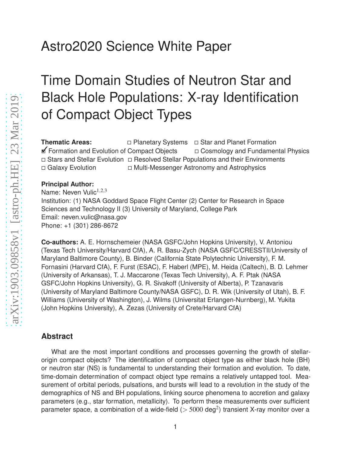# Astro2020 Science White Paper

# Time Domain Studies of Neutron Star and Black Hole Populations: X-ray Identification of Compact Object Types

**Thematic Areas:**  $\Box$  Planetary Systems  $\Box$  Star and Planet Formation **If Formation and Evolution of Compact Objects** 
□ Cosmology and Fundamental Physics  $\Box$  Stars and Stellar Evolution  $\Box$  Resolved Stellar Populations and their Environments □ Galaxy Evolution □ Multi-Messenger Astronomy and Astrophysics

#### **Principal Author:**

Name: Neven Vulic $1,2,3$ Institution: (1) NASA Goddard Space Flight Center (2) Center for Research in Space Sciences and Technology II (3) University of Maryland, College Park Email: neven.vulic@nasa.gov Phone: +1 (301) 286-8672

**Co-authors:** A. E. Hornschemeier (NASA GSFC/John Hopkins University), V. Antoniou (Texas Tech University/Harvard CfA), A. R. Basu-Zych (NASA GSFC/CRESSTII/University of Maryland Baltimore County), B. Binder (California State Polytechnic University), F. M. Fornasini (Harvard CfA), F. Furst (ESAC), F. Haberl (MPE), M. Heida (Caltech), B. D. Lehmer (University of Arkansas), T. J. Maccarone (Texas Tech University), A. F. Ptak (NASA GSFC/John Hopkins University), G. R. Sivakoff (University of Alberta), P. Tzanavaris (University of Maryland Baltimore County/NASA GSFC), D. R. Wik (University of Utah), B. F. Williams (University of Washington), J. Wilms (Universitat Erlangen-Nurnberg), M. Yukita (John Hopkins University), A. Zezas (University of Crete/Harvard CfA)

#### **Abstract**

What are the most important conditions and processes governing the growth of stellarorigin compact objects? The identification of compact object type as either black hole (BH) or neutron star (NS) is fundamental to understanding their formation and evolution. To date, time-domain determination of compact object type remains a relatively untapped tool. Measurement of orbital periods, pulsations, and bursts will lead to a revolution in the study of the demographics of NS and BH populations, linking source phenomena to accretion and galaxy parameters (e.g., star formation, metallicity). To perform these measurements over sufficient parameter space, a combination of a wide-field ( $>$  5000 deg<sup>2</sup>) transient X-ray monitor over a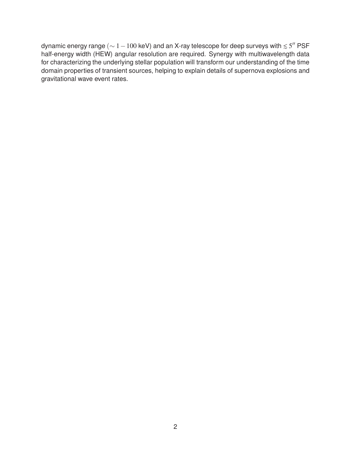dynamic energy range ( $\sim$   $1-100$  keV) and an X-ray telescope for deep surveys with  $\lesssim$  5 $^{\prime\prime}$  PSF half-energy width (HEW) angular resolution are required. Synergy with multiwavelength data for characterizing the underlying stellar population will transform our understanding of the time domain properties of transient sources, helping to explain details of supernova explosions and gravitational wave event rates.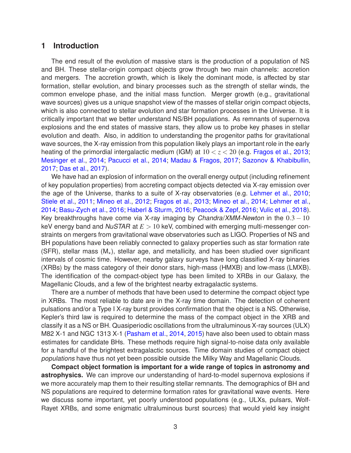#### **1 Introduction**

The end result of the evolution of massive stars is the production of a population of NS and BH. These stellar-origin compact objects grow through two main channels: accretion and mergers. The accretion growth, which is likely the dominant mode, is affected by star formation, stellar evolution, and binary processes such as the strength of stellar winds, the common envelope phase, and the initial mass function. Merger growth (e.g., gravitational wave sources) gives us a unique snapshot view of the masses of stellar origin compact objects, which is also connected to stellar evolution and star formation processes in the Universe. It is critically important that we better understand NS/BH populations. As remnants of supernova explosions and the end states of massive stars, they allow us to probe key phases in stellar evolution and death. Also, in addition to understanding the progenitor paths for gravitational wave sources, the X-ray emission from this population likely plays an important role in the early heating of the primordial intergalactic medium (IGM) at  $10 < z < 20$  (e.g. [Fragos et al.,](#page-7-0) [2013;](#page-7-0) [Mesinger et al.,](#page-8-0) [2014](#page-8-0); [Pacucci et al.,](#page-8-1) [2014;](#page-8-1) [Madau & Fragos](#page-8-2), [2017](#page-8-2); [Sazonov & Khabibullin,](#page-8-3) [2017](#page-8-3); [Das et al.,](#page-7-1) [2017](#page-7-1)).

We have had an explosion of information on the overall energy output (including refinement of key population properties) from accreting compact objects detected via X-ray emission over the age of the Universe, thanks to a suite of X-ray observatories (e.g. [Lehmer et al.](#page-7-2), [2010;](#page-7-2) [Stiele et al.,](#page-8-4) [2011](#page-8-4); [Mineo et al.,](#page-8-5) [2012](#page-8-5); [Fragos et al.](#page-7-0), [2013;](#page-7-0) [Mineo et al.,](#page-8-6) [2014;](#page-8-6) [Lehmer et al.](#page-7-3), [2014](#page-7-3); [Basu-Zych et al.,](#page-7-4) [2016](#page-7-4); [Haberl & Sturm,](#page-7-5) [2016](#page-7-5); [Peacock & Zepf,](#page-8-7) [2016](#page-8-7); [Vulic et al.](#page-8-8), [2018](#page-8-8)). Key breakthroughs have come via X-ray imaging by *Chandra/XMM-Newton* in the  $0.3 - 10$ keV energy band and NuSTAR at *E* > 10 keV, combined with emerging multi-messenger constraints on mergers from gravitational wave observatories such as LIGO. Properties of NS and BH populations have been reliably connected to galaxy properties such as star formation rate (SFR), stellar mass  $(M<sub>*</sub>)$ , stellar age, and metallicity, and has been studied over significant intervals of cosmic time. However, nearby galaxy surveys have long classified X-ray binaries (XRBs) by the mass category of their donor stars, high-mass (HMXB) and low-mass (LMXB). The identification of the compact-object type has been limited to XRBs in our Galaxy, the Magellanic Clouds, and a few of the brightest nearby extragalactic systems.

There are a number of methods that have been used to determine the compact object type in XRBs. The most reliable to date are in the X-ray time domain. The detection of coherent pulsations and/or a Type I X-ray burst provides confirmation that the object is a NS. Otherwise, Kepler's third law is required to determine the mass of the compact object in the XRB and classify it as a NS or BH. Quasiperiodic oscillations from the ultraluminous X-ray sources (ULX) M82 X-1 and NGC 1313 X-1 [\(Pasham et al.,](#page-8-9) [2014](#page-8-9), [2015\)](#page-8-10) have also been used to obtain mass estimates for candidate BHs. These methods require high signal-to-noise data only available for a handful of the brightest extragalactic sources. Time domain studies of compact object populations have thus not yet been possible outside the Milky Way and Magellanic Clouds.

**Compact object formation is important for a wide range of topics in astronomy and astrophysics.** We can improve our understanding of hard-to-model supernova explosions if we more accurately map them to their resulting stellar remnants. The demographics of BH and NS populations are required to determine formation rates for gravitational wave events. Here we discuss some important, yet poorly understood populations (e.g., ULXs, pulsars, Wolf-Rayet XRBs, and some enigmatic ultraluminous burst sources) that would yield key insight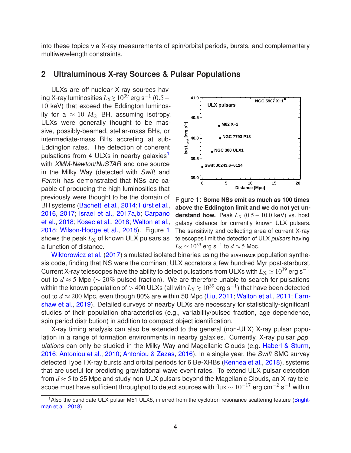<span id="page-3-2"></span>into these topics via X-ray measurements of spin/orbital periods, bursts, and complementary multiwavelength constraints.

#### **2 Ultraluminous X-ray Sources & Pulsar Populations**

ULXs are off-nuclear X-ray sources having X-ray luminosities  $L_{\mathrm{X}}$ ≳ 10<sup>39́</sup> erg s $^{-1}$  (0.5  $-$ 10 keV) that exceed the Eddington luminosity for a  $\approx 10$   $M_{\odot}$  BH, assuming isotropy. ULXs were generally thought to be massive, possibly-beamed, stellar-mass BHs, or intermediate-mass BHs accreting at sub-Eddington rates. The detection of coherent pulsations from 4 ULXs in nearby galaxies<sup>[1](#page-3-0)</sup> with *XMM-Newton/NuSTAR* and one source in the Milky Way (detected with Swift and Fermi) has demonstrated that NSs are capable of producing the high luminosities that previously were thought to be the domain of BH systems [\(Bachetti et al.,](#page-7-6) [2014;](#page-7-6) Fürst et al., [2016](#page-7-7), [2017](#page-7-8); [Israel et al.](#page-7-9)[,](#page-7-11) [2017a](#page-7-9)[,b;](#page-7-10) Carpano et al., [2018;](#page-7-11) [Kosec et al.,](#page-7-12) [2018](#page-7-12); [Walton et al.](#page-8-11), [2018](#page-8-11); [Wilson-Hodge et al.](#page-8-12), [2018](#page-8-12)). Figure [1](#page-3-1) shows the peak  $L_X$  of known ULX pulsars as [a function of distance](#page-8-13).



<span id="page-3-1"></span>Figure 1: **Some NSs emit as much as 100 times above the Eddington limit and we do not yet understand how.** Peak  $L_X$  (0.5 – 10.0 keV) vs. host galaxy distance for currently known ULX pulsars. The sensitivity and collecting area of current X-ray telescopes limit the detection of ULX pulsars having  $L_{\rm X} \simeq 10^{39}$  erg s $^{-1}$  to  $d \approx$  5 Mpc.

Wiktorowicz et al. [\(2017\)](#page-8-13) simulated isolated binaries using the STARTRACK population synthesis code, finding that NS were the dominant ULX accretors a few hundred Myr post-starburst. Current X-ray telescopes have the ability to detect pulsations from ULXs with  $L_X \simeq 10^{39}$  erg s<sup>-1</sup> out to *d* ≈ 5 Mpc (∼ 20% pulsed fraction). We are therefore unable to search for pulsations within the known population of  $>$  400 ULXs (all with  $L_{\rm X}$   $\gtrsim$   $10^{39}$  erg s $^{-1}$ ) that have been detected out to  $d \approx 200$  [Mpc, even though 80% are within 50 Mpc](#page-7-14) [\(Liu,](#page-7-13) [2011](#page-7-13); [Walton et al.,](#page-8-14) [2011;](#page-8-14) Earnshaw et al., [2019\)](#page-7-14). Detailed surveys of nearby ULXs are necessary for statistically-significant studies of their population characteristics (e.g., variability/pulsed fraction, age dependence, spin period distribution) in addition to compact object identification.

X-ray timing analysis can also be extended to the general (non-ULX) X-ray pulsar population in a range of formation environments in nearby galaxies. Currently, X-ray pulsar pop-ulations can only be studied in the Milky Way and Magellanic Clouds (e.g. [Haberl & Sturm](#page-7-5), [2016](#page-7-5); [Antoniou et al.,](#page-7-15) [2010](#page-7-15); [Antoniou & Zezas,](#page-7-16) [2016](#page-7-16)). In a single year, the Swift SMC survey detected Type I X-ray bursts and orbital periods for 6 Be-XRBs [\(Kennea et al.,](#page-7-17) [2018\)](#page-7-17), systems that are useful for predicting gravitational wave event rates. To extend ULX pulsar detection from  $d \approx 5$  to 25 Mpc and study non-ULX pulsars beyond the Magellanic Clouds, an X-ray telescope must have sufficient throughput to detect sources with flux  $\sim 10^{-17}$  erg cm<sup>-2</sup> s<sup>-1</sup> within

<span id="page-3-0"></span><sup>&</sup>lt;sup>1</sup> Also t[he candidate ULX pulsar M51 ULX8, inferred from the cyclotron resonance scattering feature \(](#page-7-18)Brightman et al., [2018\)](#page-7-18).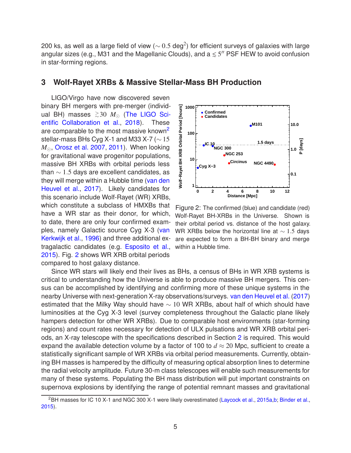200 ks, as well as a large field of view ( $\sim$   $0.5$  deg $^2)$  for efficient surveys of galaxies with large angular sizes (e.g., M31 and the Magellanic Clouds), and a  $\leq 5''$  PSF HEW to avoid confusion in star-forming regions.

#### **3 Wolf-Rayet XRBs & Massive Stellar-Mass BH Production**

LIGO/Virgo have now discovered seven binary BH mergers with pre-merger (individual BH) masses  $\gtrsim$  30  $M_{\odot}$  [\(](#page-8-15)The LIGO Scientific Collaboration et al., [2018](#page-8-15)). These are comparable to the most massive known<sup>[2](#page-4-0)</sup> stellar-mass BHs Cyg X-1 and M33 X-7 ( $\sim$  15 *M*<sub>⊙</sub>, [Orosz et al. 2007](#page-8-16), [2011](#page-8-17)). When looking for gravitational wave progenitor populations, massive BH XRBs with orbital periods less than  $\sim$  1.5 days are excellent candidates, as they will mer[ge within a Hubble time \(](#page-8-18)van den Heuvel et al., [2017\)](#page-8-18). Likely candidates for this scenario include Wolf-Rayet (WR) XRBs, which constitute a subclass of HMXBs that have a WR star as their donor, for which, to date, there are only four confirmed examples, namely [Galactic source Cyg X-3 \(](#page-8-19)van Kerkwijk et al., [1996](#page-8-19)) and three additional extragalactic candidates (e.g. [Esposito et al.](#page-7-19), [2015](#page-7-19)). Fig. [2](#page-4-1) shows WR XRB orbital periods compared to host galaxy distance.



<span id="page-4-1"></span>Figure 2: The confirmed (blue) and candidate (red) Wolf-Rayet BH-XRBs in the Universe. Shown is their orbital period vs. distance of the host galaxy. WR XRBs below the horizontal line at ~ 1.5 days are expected to form a BH-BH binary and merge within a Hubble time.

Since WR stars will likely end their lives as BHs, a census of BHs in WR XRB systems is critical to understanding how the Universe is able to produce massive BH mergers. This census can be accomplished by identifying and confirming more of these unique systems in the nearby Universe with next-generation X-ray observations/surveys. [van den Heuvel et al.](#page-8-18) [\(2017](#page-8-18)) estimated that the Milky Way should have  $\sim$  10 WR XRBs, about half of which should have luminosities at the Cyg X-3 level (survey completeness throughout the Galactic plane likely hampers detection for other WR XRBs). Due to comparable host environments (star-forming regions) and count rates necessary for detection of ULX pulsations and WR XRB orbital periods, an X-ray telescope with the specifications described in Section [2](#page-3-2) is required. This would expand the available detection volume by a factor of 100 to  $d \approx 20$  Mpc, sufficient to create a statistically significant sample of WR XRBs via orbital period measurements. Currently, obtaining BH masses is hampered by the difficulty of measuring optical absorption lines to determine the radial velocity amplitude. Future 30-m class telescopes will enable such measurements for many of these systems. Populating the BH mass distribution will put important constraints on supernova explosions by identifying the range of potential remnant masses and gravitational

<span id="page-4-0"></span><sup>&</sup>lt;sup>2</sup>BH masses for IC 10 X-1 and NGC 300 X-1 were likely overestimated [\(Laycock et al.](#page-7-20), [2015a](#page-7-20)[,b;](#page-7-21) [Binder et al.,](#page-7-22) [2015](#page-7-22)).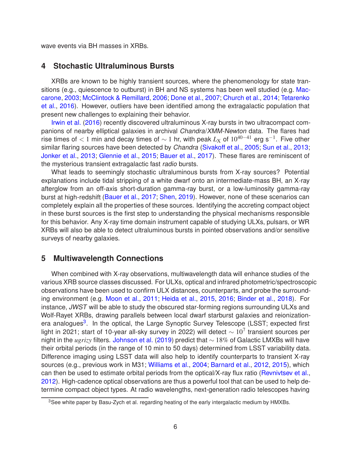wave events via BH masses in XRBs.

#### **4 Stochastic Ultraluminous Bursts**

XRBs are known to be highly transient sources, where the phenomenology for state tran-sitions [\(e.g., quiescence to outburst\) in BH and NS systems has been well studied \(e.g.](#page-8-20) Maccarone, [2003](#page-8-20); [McClintock & Remillard,](#page-8-21) [2006;](#page-8-21) [Done et al.](#page-7-23), [2007;](#page-7-23) [Church et al.](#page-7-24), [2014;](#page-7-24) Tetarenko et al., [2016\)](#page-8-22). However, outliers have been identified among the extragalactic population that [present new c](#page-7-25)hallenges to explaining their behavior.

Irwin et al. [\(2016\)](#page-7-25) recently discovered ultraluminous X-ray bursts in two ultracompact companions of nearby elliptical galaxies in archival Chandra/XMM-Newton data. The flares had rise times of  $< 1$  min and decay times of  $\sim 1$  hr, with peak  $L_{\rm X}$  of  $10^{40-41}$  erg s<sup>-1</sup>. Five other similar flaring sources have been detected by Chandra [\(Sivakoff et al.,](#page-8-23) [2005](#page-8-23); [Sun et al.](#page-8-24), [2013;](#page-8-24) [Jonker et al.](#page-7-26), [2013](#page-7-26); [Glennie et al.,](#page-7-27) [2015;](#page-7-27) [Bauer et al.](#page-7-28), [2017](#page-7-28)). These flares are reminiscent of the mysterious transient extragalactic fast radio bursts.

What leads to seemingly stochastic ultraluminous bursts from X-ray sources? Potential explanations include tidal stripping of a white dwarf onto an intermediate-mass BH, an X-ray afterglow from an off-axis short-duration gamma-ray burst, or a low-luminosity gamma-ray burst at high-redshift [\(Bauer et al.,](#page-7-28) [2017](#page-7-28); [Shen](#page-8-25), [2019\)](#page-8-25). However, none of these scenarios can completely explain all the properties of these sources. Identifying the accreting compact object in these burst sources is the first step to understanding the physical mechanisms responsible for this behavior. Any X-ray time domain instrument capable of studying ULXs, pulsars, or WR XRBs will also be able to detect ultraluminous bursts in pointed observations and/or sensitive surveys of nearby galaxies.

# **5 Multiwavelength Connections**

When combined with X-ray observations, multiwavelength data will enhance studies of the various XRB source classes discussed. For ULXs, optical and infrared photometric/spectroscopic observations have been used to confirm ULX distances, counterparts, and probe the surrounding environment (e.g. [Moon et al.,](#page-8-26) [2011](#page-8-26); [Heida et al.](#page-7-29), [2015,](#page-7-29) [2016](#page-7-30); [Binder et al.](#page-7-31), [2018\)](#page-7-31). For instance, JWST will be able to study the obscured star-forming regions surrounding ULXs and Wolf-Rayet XRBs, drawing parallels between local dwarf starburst galaxies and reionization-era analogues<sup>[3](#page-5-0)</sup>. In the optical, the Large Synoptic Survey Telescope (LSST; expected first light in 2021; start of 10-year all-sky survey in 2022) will detect  $\sim 10^7$  transient sources per night in the *ugrizy* filters. [Johnson et al.](#page-7-32) [\(2019](#page-7-32)) predict that ∼ 18% of Galactic LMXBs will have their orbital periods (in the range of 10 min to 50 days) determined from LSST variability data. Difference imaging using LSST data will also help to identify counterparts to transient X-ray sources (e.g., previous work in M31; [Williams et al.](#page-8-27), [2004](#page-8-27); [Barnard et al.,](#page-7-33) [2012,](#page-7-33) [2015\)](#page-7-34), which can then be used to estimate orbital periods from the optical/X-ray flux ratio [\(Revnivtsev et al.](#page-8-28), [2012](#page-8-28)). High-cadence optical observations are thus a powerful tool that can be used to help determine compact object types. At radio wavelengths, next-generation radio telescopes having

<span id="page-5-0"></span><sup>&</sup>lt;sup>3</sup>See white paper by Basu-Zych et al. regarding heating of the early intergalactic medium by HMXBs.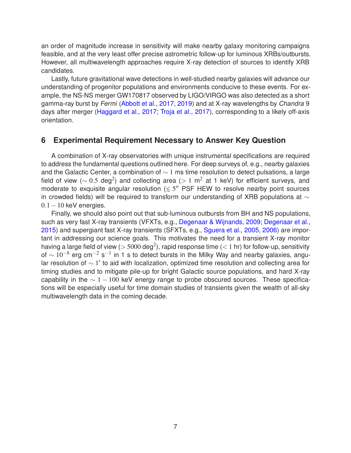an order of magnitude increase in sensitivity will make nearby galaxy monitoring campaigns feasible, and at the very least offer precise astrometric follow-up for luminous XRBs/outbursts. However, all multiwavelength approaches require X-ray detection of sources to identify XRB candidates.

Lastly, future gravitational wave detections in well-studied nearby galaxies will advance our understanding of progenitor populations and environments conducive to these events. For example, the NS-NS merger GW170817 observed by LIGO/VIRGO was also detected as a short gamma-ray burst by Fermi [\(Abbott et al.,](#page-7-35) [2017](#page-7-35), [2019](#page-7-36)) and at X-ray wavelengths by Chandra 9 days after merger [\(Haggard et al.](#page-7-37), [2017](#page-7-37); [Troja et al.](#page-8-29), [2017\)](#page-8-29), corresponding to a likely off-axis orientation.

# **6 Experimental Requirement Necessary to Answer Key Question**

A combination of X-ray observatories with unique instrumental specifications are required to address the fundamental questions outlined here. For deep surveys of, e.g., nearby galaxies and the Galactic Center, a combination of  $\sim$  1 ms time resolution to detect pulsations, a large field of view ( $\sim 0.5$  deg<sup>2</sup>) and collecting area (> 1 m<sup>2</sup> at 1 keV) for efficient surveys, and moderate to exquisite angular resolution  $(55'$  PSF HEW to resolve nearby point sources in crowded fields) will be required to transform our understanding of XRB populations at  $\sim$  $0.1-10$  keV energies.

Finally, we should also point out that sub-luminous outbursts from BH and NS populations, such as very fast X-ray transients (VFXTs, e.g., [Degenaar & Wijnands,](#page-7-38) [2009;](#page-7-38) [Degenaar et al.](#page-7-39), [2015](#page-7-39)) and supergiant fast X-ray transients (SFXTs, e.g., [Sguera et al.](#page-8-30), [2005,](#page-8-30) [2006](#page-8-31)) are important in addressing our science goals. This motivates the need for a transient X-ray monitor having a large field of view ( $> 5000$  deg<sup>2</sup>), rapid response time ( $< 1$  hr) for follow-up, sensitivity of  $\sim 10^{-8}$  erg cm<sup>-2</sup> s<sup>-1</sup> in 1 s to detect bursts in the Milky Way and nearby galaxies, angular resolution of ∼ 1 ′ to aid with localization, optimized time resolution and collecting area for timing studies and to mitigate pile-up for bright Galactic source populations, and hard X-ray capability in the  $\sim 1 - 100$  keV energy range to probe obscured sources. These specifications will be especially useful for time domain studies of transients given the wealth of all-sky multiwavelength data in the coming decade.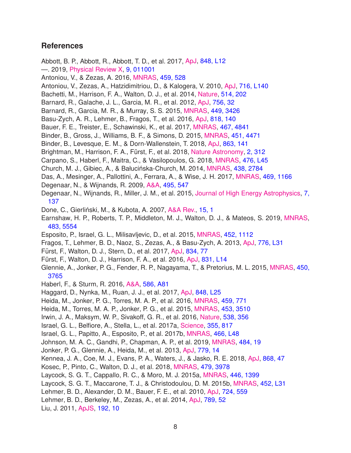## **References**

<span id="page-7-39"></span><span id="page-7-38"></span><span id="page-7-37"></span><span id="page-7-36"></span><span id="page-7-35"></span><span id="page-7-34"></span><span id="page-7-33"></span><span id="page-7-32"></span><span id="page-7-31"></span><span id="page-7-30"></span><span id="page-7-29"></span><span id="page-7-28"></span><span id="page-7-27"></span><span id="page-7-26"></span><span id="page-7-25"></span><span id="page-7-24"></span><span id="page-7-23"></span><span id="page-7-22"></span><span id="page-7-21"></span><span id="page-7-20"></span><span id="page-7-19"></span><span id="page-7-18"></span><span id="page-7-17"></span><span id="page-7-16"></span><span id="page-7-15"></span><span id="page-7-14"></span><span id="page-7-13"></span><span id="page-7-12"></span><span id="page-7-11"></span><span id="page-7-10"></span><span id="page-7-9"></span><span id="page-7-8"></span><span id="page-7-7"></span><span id="page-7-6"></span><span id="page-7-5"></span><span id="page-7-4"></span><span id="page-7-3"></span><span id="page-7-2"></span><span id="page-7-1"></span><span id="page-7-0"></span>Abbott, B. P., Abbott, R., Abbott, T. D., et al. 2017, [ApJ,](http://dx.doi.org/10.3847/2041-8213/aa91c9) [848, L12](http://adsabs.harvard.edu/abs/2017ApJ...848L..12A) —. 2019, [Physical Review X,](http://dx.doi.org/10.1103/PhysRevX.9.011001) [9, 011001](http://adsabs.harvard.edu/abs/2019PhRvX...9a1001A) Antoniou, V., & Zezas, A. 2016, [MNRAS,](http://dx.doi.org/10.1093/mnras/stw167) [459, 528](http://adsabs.harvard.edu/abs/2016MNRAS.459..528A) Antoniou, V., Zezas, A., Hatzidimitriou, D., & Kalogera, V. 2010, [ApJ,](http://dx.doi.org/10.1088/2041-8205/716/2/L140) [716, L140](http://adsabs.harvard.edu/abs/2010ApJ...716L.140A) Bachetti, M., Harrison, F. A., Walton, D. J., et al. 2014, [Nature,](http://dx.doi.org/10.1038/nature13791) [514, 202](http://adsabs.harvard.edu/abs/2014Natur.514..202B) Barnard, R., Galache, J. L., Garcia, M. R., et al. 2012, [ApJ,](http://dx.doi.org/10.1088/0004-637X/756/1/32) [756, 32](http://adsabs.harvard.edu/abs/2012ApJ...756...32B) Barnard, R., Garcia, M. R., & Murray, S. S. 2015, [MNRAS,](http://dx.doi.org/10.1093/mnras/stv551) [449, 3426](http://adsabs.harvard.edu/abs/2015MNRAS.449.3426B) Basu-Zych, A. R., Lehmer, B., Fragos, T., et al. 2016, [ApJ,](http://dx.doi.org/10.3847/0004-637X/818/2/140) [818, 140](http://adsabs.harvard.edu/abs/2016ApJ...818..140B) Bauer, F. E., Treister, E., Schawinski, K., et al. 2017, [MNRAS,](http://dx.doi.org/10.1093/mnras/stx417) [467, 4841](http://adsabs.harvard.edu/abs/2017MNRAS.467.4841B) Binder, B., Gross, J., Williams, B. F., & Simons, D. 2015, [MNRAS,](http://dx.doi.org/10.1093/mnras/stv1305) [451, 4471](http://adsabs.harvard.edu/abs/2015MNRAS.451.4471B) Binder, B., Levesque, E. M., & Dorn-Wallenstein, T. 2018, [ApJ,](http://dx.doi.org/10.3847/1538-4357/aad3bd) [863, 141](http://adsabs.harvard.edu/abs/2018ApJ...863..141B) Brightman, M., Harrison, F. A., Fürst, F., et al. 2018, [Nature Astronomy,](http://dx.doi.org/10.1038/s41550-018-0391-6) [2, 312](http://adsabs.harvard.edu/abs/2018NatAs...2..312B) Carpano, S., Haberl, F., Maitra, C., & Vasilopoulos, G. 2018, [MNRAS,](http://dx.doi.org/10.1093/mnrasl/sly030) [476, L45](http://adsabs.harvard.edu/abs/2018MNRAS.476L..45C) Church, M. J., Gibiec, A., & Bałucińska-Church, M. 2014, [MNRAS,](http://dx.doi.org/10.1093/mnras/stt2364) [438, 2784](http://adsabs.harvard.edu/abs/2014MNRAS.438.2784C) Das, A., Mesinger, A., Pallottini, A., Ferrara, A., & Wise, J. H. 2017, [MNRAS,](http://dx.doi.org/10.1093/mnras/stx943) [469, 1166](http://adsabs.harvard.edu/abs/2017MNRAS.469.1166D) Degenaar, N., & Wijnands, R. 2009, [A&A,](http://dx.doi.org/10.1051/0004-6361:200810654) [495, 547](http://adsabs.harvard.edu/abs/2009A%26A...495..547D) Degenaar, N., Wijnands, R., Miller, J. M., et al. 2015, [Journal of High Energy Astrophysics,](http://dx.doi.org/10.1016/j.jheap.2015.03.005) 7, 137 Done, C., Gierliński, M., & Kubota, A. 2007, [A&A Rev.,](http://dx.doi.org/10.1007/s00159-007-0006-1) [15, 1](http://adsabs.harvard.edu/abs/2007A%26ARv..15....1D) Earnshaw, H. P., Roberts, T. P., Middleton, M. J., Walton, D. J., & Mateos, S. 2019, [MNRAS,](http://dx.doi.org/10.1093/mnras/sty3403) [483, 5554](https://ui.adsabs.harvard.edu/#abs/2019MNRAS.483.5554E) Esposito, P., Israel, G. L., Milisavljevic, D., et al. 2015, [MNRAS,](http://dx.doi.org/10.1093/mnras/stv1379) [452, 1112](http://adsabs.harvard.edu/abs/2015MNRAS.452.1112E) Fragos, T., Lehmer, B. D., Naoz, S., Zezas, A., & Basu-Zych, A. 2013, [ApJ,](http://dx.doi.org/10.1088/2041-8205/776/2/L31) [776, L31](http://adsabs.harvard.edu/abs/2013ApJ...776L..31F) Fürst, F., Walton, D. J., Stern, D., et al. 2017, [ApJ,](http://dx.doi.org/10.3847/1538-4357/834/1/77) [834, 77](http://adsabs.harvard.edu/abs/2017ApJ...834...77F) Fürst, F., Walton, D. J., Harrison, F. A., et al. 2016, [ApJ,](http://dx.doi.org/10.3847/2041-8205/831/2/L14) [831, L14](http://adsabs.harvard.edu/abs/2016ApJ...831L..14F) Glennie, A., Jonker, P. G., Fender, R. P., Nagayama, T., & Pretorius, M. L. 2015, [MNRAS,](http://dx.doi.org/10.1093/mnras/stv801) 450, 3765 Haberl, F., & Sturm, R. 2016, [A&A,](http://dx.doi.org/10.1051/0004-6361/201527326) [586, A81](http://adsabs.harvard.edu/abs/2016A%26A...586A..81H) Haggard, D., Nynka, M., Ruan, J. J., et al. 2017, [ApJ,](http://dx.doi.org/10.3847/2041-8213/aa8ede) [848, L25](http://adsabs.harvard.edu/abs/2017ApJ...848L..25H) Heida, M., Jonker, P. G., Torres, M. A. P., et al. 2016, [MNRAS,](http://dx.doi.org/10.1093/mnras/stw695) [459, 771](http://adsabs.harvard.edu/abs/2016MNRAS.459..771H) Heida, M., Torres, M. A. P., Jonker, P. G., et al. 2015, [MNRAS,](http://dx.doi.org/10.1093/mnras/stv1853) [453, 3510](http://adsabs.harvard.edu/abs/2015MNRAS.453.3510H) Irwin, J. A., Maksym, W. P., Sivakoff, G. R., et al. 2016, [Nature,](http://dx.doi.org/10.1038/nature19822) [538, 356](http://adsabs.harvard.edu/abs/2016Natur.538..356I) Israel, G. L., Belfiore, A., Stella, L., et al. 2017a, [Science,](http://dx.doi.org/10.1126/science.aai8635) [355, 817](http://adsabs.harvard.edu/abs/2017Sci...355..817I) Israel, G. L., Papitto, A., Esposito, P., et al. 2017b, [MNRAS,](http://dx.doi.org/10.1093/mnrasl/slw218) [466, L48](http://adsabs.harvard.edu/abs/2017MNRAS.466L..48I) Johnson, M. A. C., Gandhi, P., Chapman, A. P., et al. 2019, [MNRAS,](http://dx.doi.org/10.1093/mnras/sty3466) [484, 19](http://adsabs.harvard.edu/abs/2019MNRAS.484...19J) Jonker, P. G., Glennie, A., Heida, M., et al. 2013, [ApJ,](http://dx.doi.org/10.1088/0004-637X/779/1/14) [779, 14](http://adsabs.harvard.edu/abs/2013ApJ...779...14J) Kennea, J. A., Coe, M. J., Evans, P. A., Waters, J., & Jasko, R. E. 2018, [ApJ,](http://dx.doi.org/10.3847/1538-4357/aae839) [868, 47](http://adsabs.harvard.edu/abs/2018ApJ...868...47K) Kosec, P., Pinto, C., Walton, D. J., et al. 2018, [MNRAS,](http://dx.doi.org/10.1093/mnras/sty1626) [479, 3978](http://adsabs.harvard.edu/abs/2018MNRAS.479.3978K) Laycock, S. G. T., Cappallo, R. C., & Moro, M. J. 2015a, [MNRAS,](http://dx.doi.org/10.1093/mnras/stu2151) [446, 1399](http://adsabs.harvard.edu/abs/2015MNRAS.446.1399L) Laycock, S. G. T., Maccarone, T. J., & Christodoulou, D. M. 2015b, [MNRAS,](http://dx.doi.org/10.1093/mnrasl/slv082) [452, L31](http://adsabs.harvard.edu/abs/2015MNRAS.452L..31L) Lehmer, B. D., Alexander, D. M., Bauer, F. E., et al. 2010, [ApJ,](http://dx.doi.org/10.1088/0004-637X/724/1/559) [724, 559](http://adsabs.harvard.edu/abs/2010ApJ...724..559L) Lehmer, B. D., Berkeley, M., Zezas, A., et al. 2014, [ApJ,](http://dx.doi.org/10.1088/0004-637X/789/1/52) [789, 52](http://adsabs.harvard.edu/abs/2014ApJ...789...52L) Liu, J. 2011, [ApJS,](http://dx.doi.org/10.1088/0067-0049/192/1/10) [192, 10](http://adsabs.harvard.edu/abs/2011ApJS..192...10L)